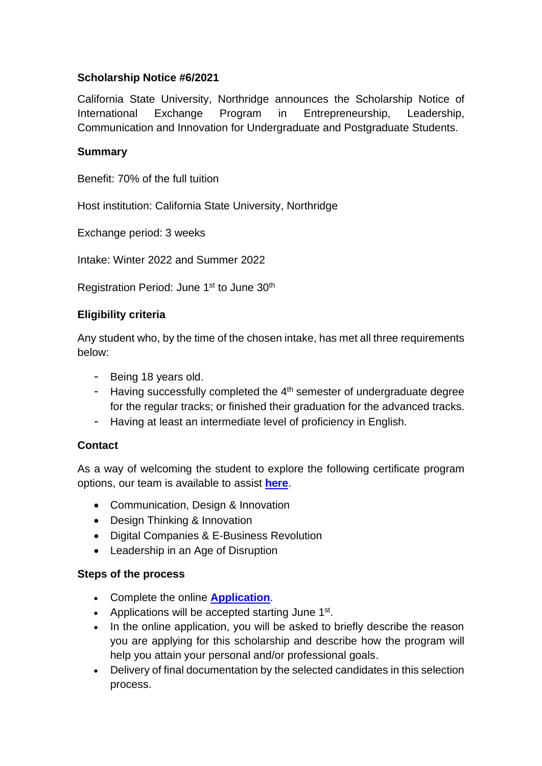# **Scholarship Notice #6/2021**

California State University, Northridge announces the Scholarship Notice of International Exchange Program in Entrepreneurship, Leadership, Communication and Innovation for Undergraduate and Postgraduate Students.

### **Summary**

Benefit: 70% of the full tuition

Host institution: California State University, Northridge

Exchange period: 3 weeks

Intake: Winter 2022 and Summer 2022

Registration Period: June 1<sup>st</sup> to June 30<sup>th</sup>

### **Eligibility criteria**

Any student who, by the time of the chosen intake, has met all three requirements below:

- Being 18 years old.
- Having successfully completed the  $4<sup>th</sup>$  semester of undergraduate degree for the regular tracks; or finished their graduation for the advanced tracks.
- Having at least an intermediate level of proficiency in English.

# **Contact**

As a way of welcoming the student to explore the following certificate program options, our team is available to assist **[here](https://international.ibs-americas.com/findoutmorecsun)**.

- Communication, Design & Innovation
- Design Thinking & Innovation
- Digital Companies & E-Business Revolution
- Leadership in an Age of Disruption

#### **Steps of the process**

- Complete the online **[Application](https://international.ibs-americas.com/application-csun)**.
- Applications will be accepted starting June 1<sup>st</sup>.
- In the online application, you will be asked to briefly describe the reason you are applying for this scholarship and describe how the program will help you attain your personal and/or professional goals.
- Delivery of final documentation by the selected candidates in this selection process.